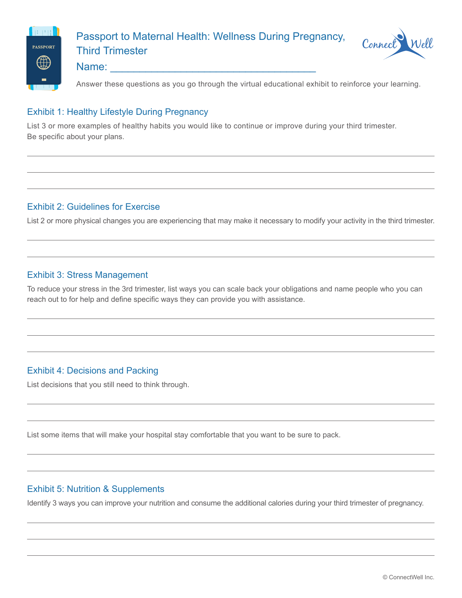

# Passport to Maternal Health: Wellness During Pregnancy, Third Trimester



# Name:

Answer these questions as you go through the virtual educational exhibit to reinforce your learning.

#### Exhibit 1: Healthy Lifestyle During Pregnancy

List 3 or more examples of healthy habits you would like to continue or improve during your third trimester. Be specific about your plans.

#### Exhibit 2: Guidelines for Exercise

List 2 or more physical changes you are experiencing that may make it necessary to modify your activity in the third trimester.

#### Exhibit 3: Stress Management

To reduce your stress in the 3rd trimester, list ways you can scale back your obligations and name people who you can reach out to for help and define specific ways they can provide you with assistance.

# Exhibit 4: Decisions and Packing

List decisions that you still need to think through.

List some items that will make your hospital stay comfortable that you want to be sure to pack.

# Exhibit 5: Nutrition & Supplements

Identify 3 ways you can improve your nutrition and consume the additional calories during your third trimester of pregnancy.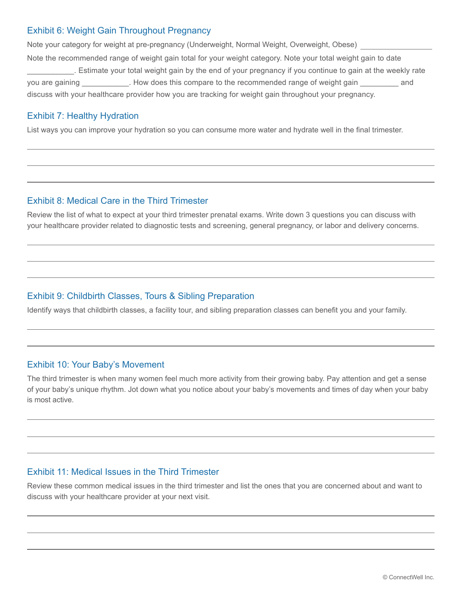#### Exhibit 6: Weight Gain Throughout Pregnancy

Note your category for weight at pre-pregnancy (Underweight, Normal Weight, Overweight, Obese) Note the recommended range of weight gain total for your weight category. Note your total weight gain to date \_\_\_\_\_\_\_\_\_\_\_. Estimate your total weight gain by the end of your pregnancy if you continue to gain at the weekly rate you are gaining The Music How does this compare to the recommended range of weight gain Theorem and discuss with your healthcare provider how you are tracking for weight gain throughout your pregnancy.

#### Exhibit 7: Healthy Hydration

List ways you can improve your hydration so you can consume more water and hydrate well in the final trimester.

#### Exhibit 8: Medical Care in the Third Trimester

Review the list of what to expect at your third trimester prenatal exams. Write down 3 questions you can discuss with your healthcare provider related to diagnostic tests and screening, general pregnancy, or labor and delivery concerns.

# Exhibit 9: Childbirth Classes, Tours & Sibling Preparation

Identify ways that childbirth classes, a facility tour, and sibling preparation classes can benefit you and your family.

#### Exhibit 10: Your Baby's Movement

The third trimester is when many women feel much more activity from their growing baby. Pay attention and get a sense of your baby's unique rhythm. Jot down what you notice about your baby's movements and times of day when your baby is most active.

#### Exhibit 11: Medical Issues in the Third Trimester

Review these common medical issues in the third trimester and list the ones that you are concerned about and want to discuss with your healthcare provider at your next visit.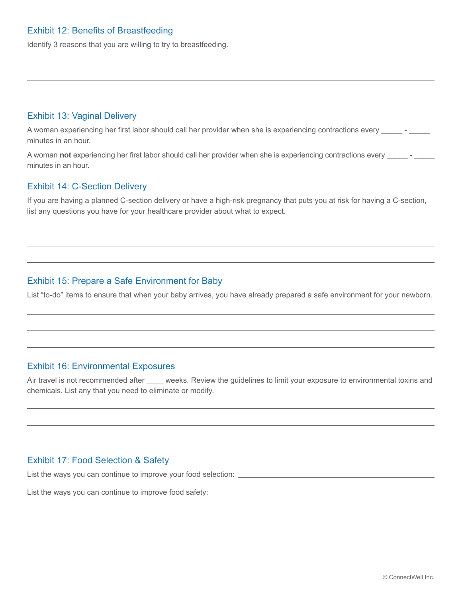#### Exhibit 12: Benefits of Breastfeeding

Identify 3 reasons that you are willing to try to breastfeeding.

#### Exhibit 13: Vaginal Delivery

A woman experiencing her first labor should call her provider when she is experiencing contractions every \_\_\_\_\_ minutes in an hour.

A woman **not** experiencing her first labor should call her provider when she is experiencing contractions every \_\_\_\_\_ - \_\_\_\_\_ minutes in an hour.

#### Exhibit 14: C-Section Delivery

If you are having a planned C-section delivery or have a high-risk pregnancy that puts you at risk for having a C-section, list any questions you have for your healthcare provider about what to expect.

# Exhibit 15: Prepare a Safe Environment for Baby

List "to-do" items to ensure that when your baby arrives, you have already prepared a safe environment for your newborn.

#### Exhibit 16: Environmental Exposures

Air travel is not recommended after weeks. Review the guidelines to limit your exposure to environmental toxins and chemicals. List any that you need to eliminate or modify.

#### Exhibit 17: Food Selection & Safety

List the ways you can continue to improve your food selection:

List the ways you can continue to improve food safety: \_\_\_\_\_\_\_\_\_\_\_\_\_\_\_\_\_\_\_\_\_\_\_\_\_